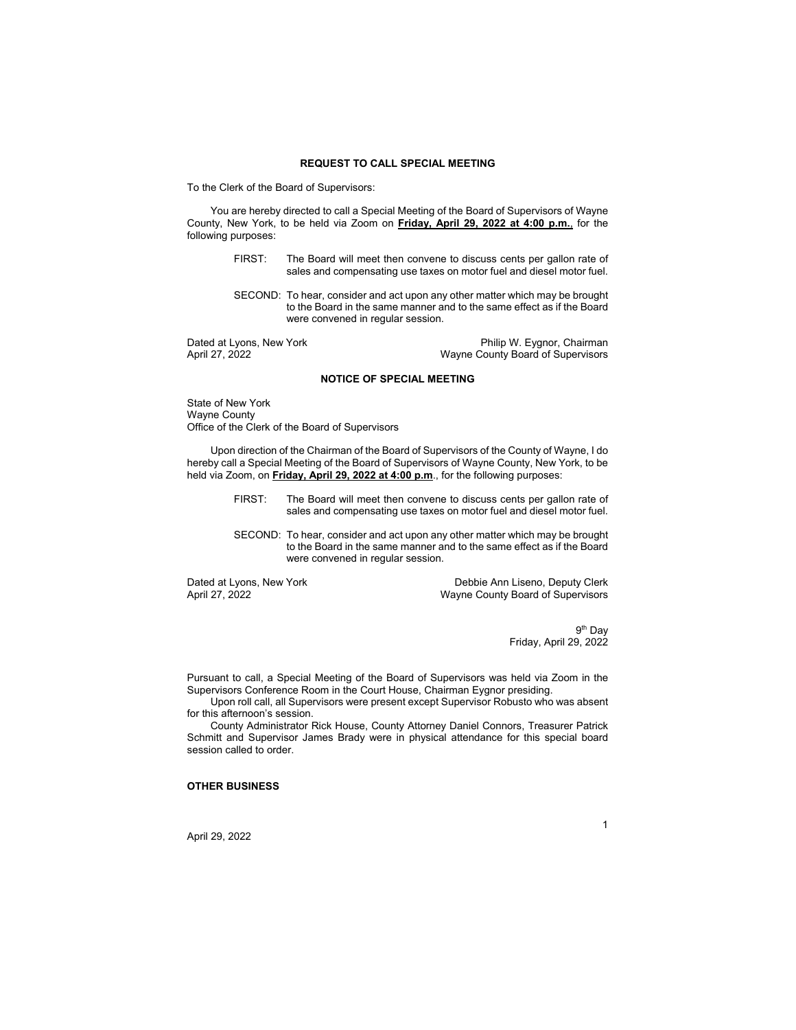#### **REQUEST TO CALL SPECIAL MEETING**

To the Clerk of the Board of Supervisors:

You are hereby directed to call a Special Meeting of the Board of Supervisors of Wayne County, New York, to be held via Zoom on **Friday, April 29, 2022 at 4:00 p.m.**, for the following purposes:

- FIRST: The Board will meet then convene to discuss cents per gallon rate of sales and compensating use taxes on motor fuel and diesel motor fuel.
- SECOND: To hear, consider and act upon any other matter which may be brought to the Board in the same manner and to the same effect as if the Board were convened in regular session.

Dated at Lyons, New York **Philip W. Eygnor, Chairman**<br>April 27, 2022<br>Wayne County Board of Supervisors Wayne County Board of Supervisors

## **NOTICE OF SPECIAL MEETING**

State of New York Wayne County Office of the Clerk of the Board of Supervisors

Upon direction of the Chairman of the Board of Supervisors of the County of Wayne, I do hereby call a Special Meeting of the Board of Supervisors of Wayne County, New York, to be held via Zoom, on **Friday, April 29, 2022 at 4:00 p.m**., for the following purposes:

- FIRST: The Board will meet then convene to discuss cents per gallon rate of sales and compensating use taxes on motor fuel and diesel motor fuel.
- SECOND: To hear, consider and act upon any other matter which may be brought to the Board in the same manner and to the same effect as if the Board were convened in regular session.

Dated at Lyons, New York **Debbie Ann Liseno, Deputy Clerk**<br>
April 27, 2022<br>
Wayne County Board of Supervisors Wayne County Board of Supervisors

> 9th Day Friday, April 29, 2022

Pursuant to call, a Special Meeting of the Board of Supervisors was held via Zoom in the Supervisors Conference Room in the Court House, Chairman Eygnor presiding.

Upon roll call, all Supervisors were present except Supervisor Robusto who was absent for this afternoon's session.

County Administrator Rick House, County Attorney Daniel Connors, Treasurer Patrick Schmitt and Supervisor James Brady were in physical attendance for this special board session called to order.

### **OTHER BUSINESS**

April 29, 2022

# 1